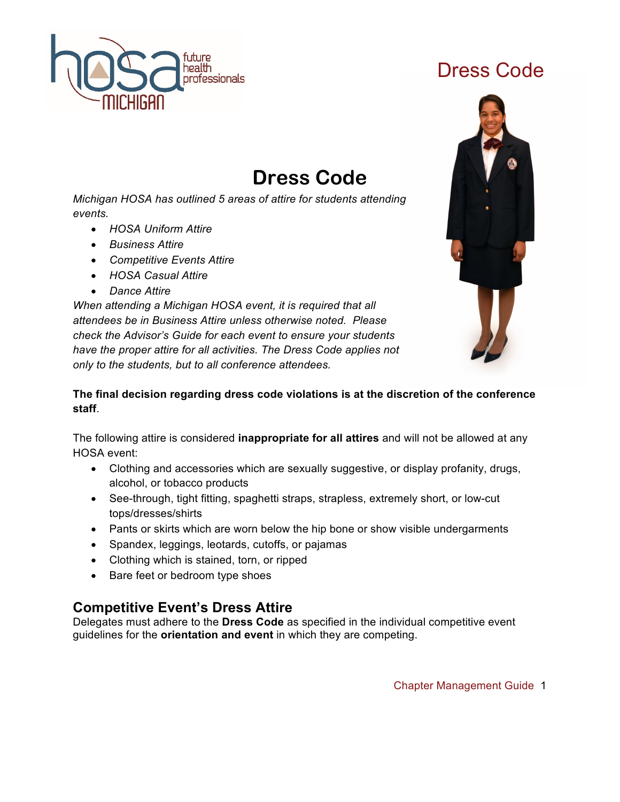

# **Dress Code**

*Michigan HOSA has outlined 5 areas of attire for students attending events.*

- *HOSA Uniform Attire*
- *Business Attire*
- *Competitive Events Attire*
- *HOSA Casual Attire*
- *Dance Attire*

*When attending a Michigan HOSA event, it is required that all attendees be in Business Attire unless otherwise noted. Please check the Advisor's Guide for each event to ensure your students have the proper attire for all activities. The Dress Code applies not only to the students, but to all conference attendees.*



#### **The final decision regarding dress code violations is at the discretion of the conference staff**.

The following attire is considered **inappropriate for all attires** and will not be allowed at any HOSA event:

- Clothing and accessories which are sexually suggestive, or display profanity, drugs, alcohol, or tobacco products
- See-through, tight fitting, spaghetti straps, strapless, extremely short, or low-cut tops/dresses/shirts
- Pants or skirts which are worn below the hip bone or show visible undergarments
- Spandex, leggings, leotards, cutoffs, or pajamas
- Clothing which is stained, torn, or ripped
- Bare feet or bedroom type shoes

#### **Competitive Event's Dress Attire**

Delegates must adhere to the **Dress Code** as specified in the individual competitive event guidelines for the **orientation and event** in which they are competing.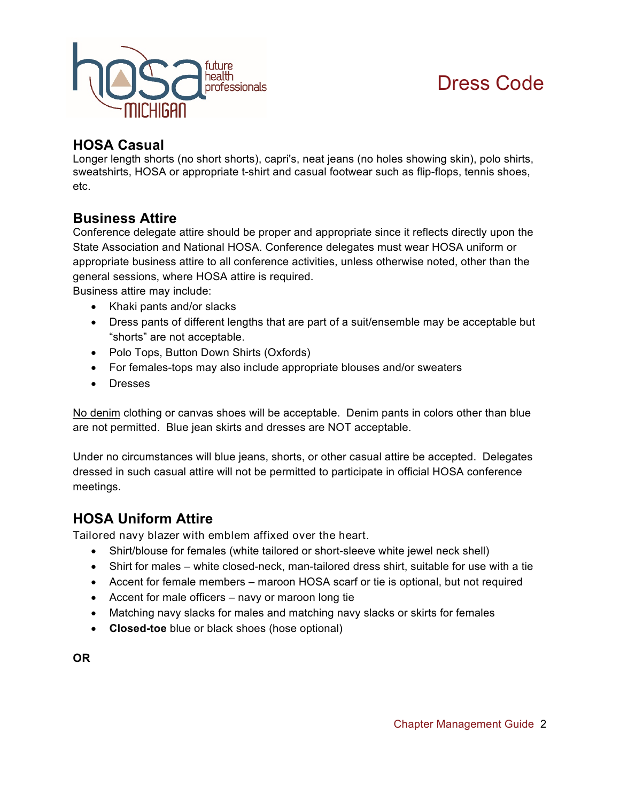

### **HOSA Casual**

Longer length shorts (no short shorts), capri's, neat jeans (no holes showing skin), polo shirts, sweatshirts, HOSA or appropriate t-shirt and casual footwear such as flip-flops, tennis shoes, etc.

#### **Business Attire**

Conference delegate attire should be proper and appropriate since it reflects directly upon the State Association and National HOSA. Conference delegates must wear HOSA uniform or appropriate business attire to all conference activities, unless otherwise noted, other than the general sessions, where HOSA attire is required.

Business attire may include:

- Khaki pants and/or slacks
- Dress pants of different lengths that are part of a suit/ensemble may be acceptable but "shorts" are not acceptable.
- Polo Tops, Button Down Shirts (Oxfords)
- For females-tops may also include appropriate blouses and/or sweaters
- Dresses

No denim clothing or canvas shoes will be acceptable. Denim pants in colors other than blue are not permitted. Blue jean skirts and dresses are NOT acceptable.

Under no circumstances will blue jeans, shorts, or other casual attire be accepted. Delegates dressed in such casual attire will not be permitted to participate in official HOSA conference meetings.

### **HOSA Uniform Attire**

Tailored navy blazer with emblem affixed over the heart.

- Shirt/blouse for females (white tailored or short-sleeve white jewel neck shell)
- Shirt for males white closed-neck, man-tailored dress shirt, suitable for use with a tie
- Accent for female members maroon HOSA scarf or tie is optional, but not required
- Accent for male officers navy or maroon long tie
- Matching navy slacks for males and matching navy slacks or skirts for females
- **Closed-toe** blue or black shoes (hose optional)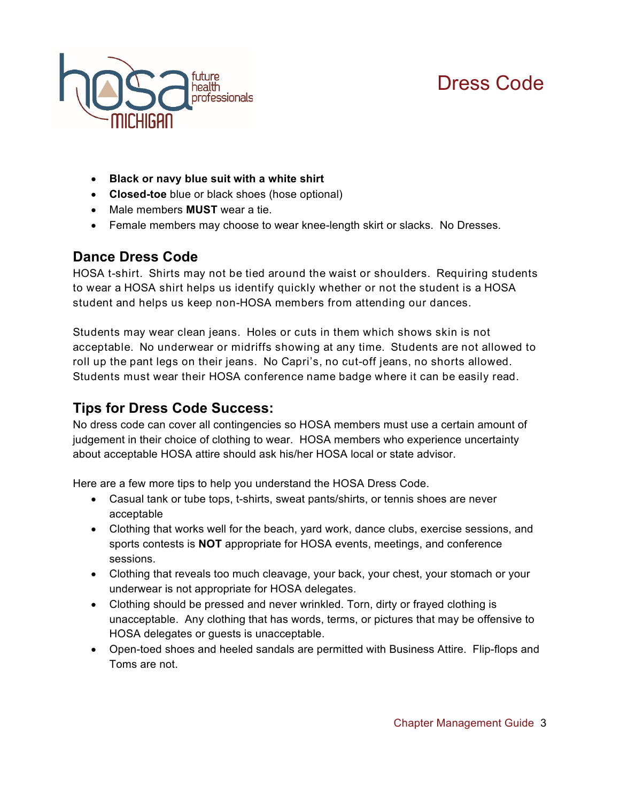

- **Black or navy blue suit with a white shirt**
- **Closed-toe** blue or black shoes (hose optional)
- Male members **MUST** wear a tie.
- Female members may choose to wear knee-length skirt or slacks. No Dresses.

### **Dance Dress Code**

HOSA t-shirt. Shirts may not be tied around the waist or shoulders. Requiring students to wear a HOSA shirt helps us identify quickly whether or not the student is a HOSA student and helps us keep non-HOSA members from attending our dances.

Students may wear clean jeans. Holes or cuts in them which shows skin is not acceptable. No underwear or midriffs showing at any time. Students are not allowed to roll up the pant legs on their jeans. No Capri's, no cut-off jeans, no shorts allowed. Students must wear their HOSA conference name badge where it can be easily read.

### **Tips for Dress Code Success:**

No dress code can cover all contingencies so HOSA members must use a certain amount of judgement in their choice of clothing to wear. HOSA members who experience uncertainty about acceptable HOSA attire should ask his/her HOSA local or state advisor.

Here are a few more tips to help you understand the HOSA Dress Code.

- Casual tank or tube tops, t-shirts, sweat pants/shirts, or tennis shoes are never acceptable
- Clothing that works well for the beach, yard work, dance clubs, exercise sessions, and sports contests is **NOT** appropriate for HOSA events, meetings, and conference sessions.
- Clothing that reveals too much cleavage, your back, your chest, your stomach or your underwear is not appropriate for HOSA delegates.
- Clothing should be pressed and never wrinkled. Torn, dirty or frayed clothing is unacceptable. Any clothing that has words, terms, or pictures that may be offensive to HOSA delegates or guests is unacceptable.
- Open-toed shoes and heeled sandals are permitted with Business Attire. Flip-flops and Toms are not.